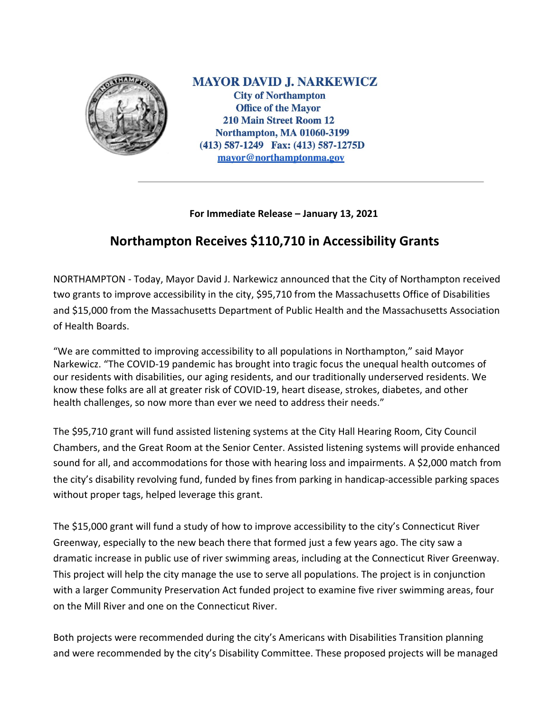

**MAYOR DAVID J. NARKEWICZ City of Northampton Office of the Mayor** 210 Main Street Room 12 **Northampton, MA 01060-3199** (413) 587-1249 Fax: (413) 587-1275D mayor@northamptonma.gov

## **For Immediate Release – January 13, 2021**

## **Northampton Receives \$110,710 in Accessibility Grants**

NORTHAMPTON - Today, Mayor David J. Narkewicz announced that the City of Northampton received two grants to improve accessibility in the city, \$95,710 from the Massachusetts Office of Disabilities and \$15,000 from the Massachusetts Department of Public Health and the Massachusetts Association of Health Boards.

"We are committed to improving accessibility to all populations in Northampton," said Mayor Narkewicz. "The COVID-19 pandemic has brought into tragic focus the unequal health outcomes of our residents with disabilities, our aging residents, and our traditionally underserved residents. We know these folks are all at greater risk of COVID-19, heart disease, strokes, diabetes, and other health challenges, so now more than ever we need to address their needs."

The \$95,710 grant will fund assisted listening systems at the City Hall Hearing Room, City Council Chambers, and the Great Room at the Senior Center. Assisted listening systems will provide enhanced sound for all, and accommodations for those with hearing loss and impairments. A \$2,000 match from the city's disability revolving fund, funded by fines from parking in handicap-accessible parking spaces without proper tags, helped leverage this grant.

The \$15,000 grant will fund a study of how to improve accessibility to the city's Connecticut River Greenway, especially to the new beach there that formed just a few years ago. The city saw a dramatic increase in public use of river swimming areas, including at the Connecticut River Greenway. This project will help the city manage the use to serve all populations. The project is in conjunction with a larger Community Preservation Act funded project to examine five river swimming areas, four on the Mill River and one on the Connecticut River.

Both projects were recommended during the city's Americans with Disabilities Transition planning and were recommended by the city's Disability Committee. These proposed projects will be managed